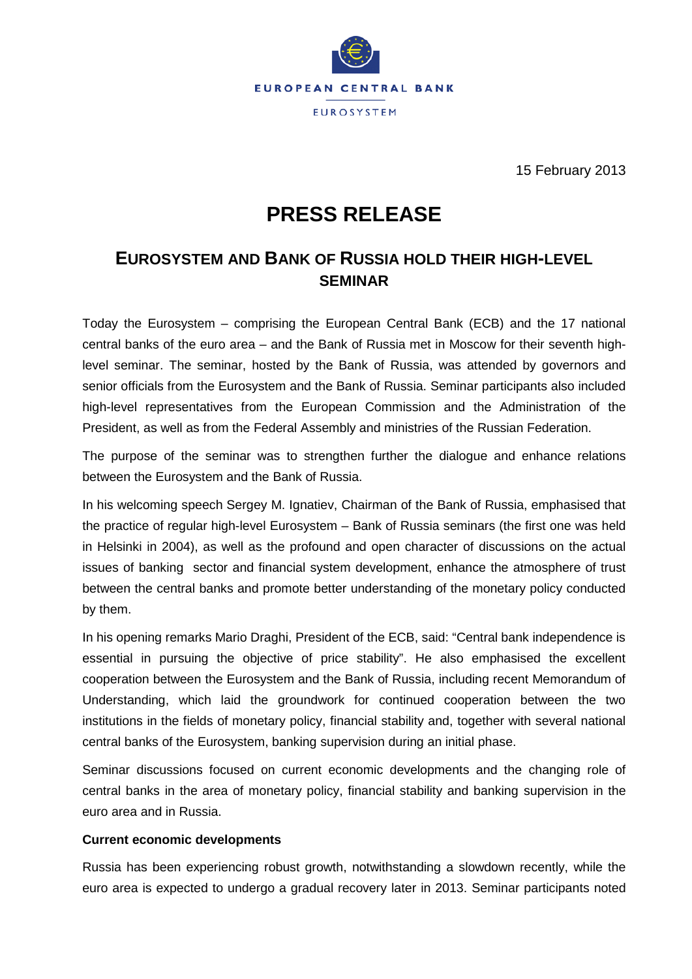

15 February 2013

# **PRESS RELEASE**

# **EUROSYSTEM AND BANK OF RUSSIA HOLD THEIR HIGH-LEVEL SEMINAR**

Today the Eurosystem – comprising the European Central Bank (ECB) and the 17 national central banks of the euro area – and the Bank of Russia met in Moscow for their seventh highlevel seminar. The seminar, hosted by the Bank of Russia, was attended by governors and senior officials from the Eurosystem and the Bank of Russia. Seminar participants also included high-level representatives from the European Commission and the Administration of the President, as well as from the Federal Assembly and ministries of the Russian Federation.

The purpose of the seminar was to strengthen further the dialogue and enhance relations between the Eurosystem and the Bank of Russia.

In his welcoming speech Sergey M. Ignatiev, Chairman of the Bank of Russia, emphasised that the practice of regular high-level Eurosystem – Bank of Russia seminars (the first one was held in Helsinki in 2004), as well as the profound and open character of discussions on the actual issues of banking sector and financial system development, enhance the atmosphere of trust between the central banks and promote better understanding of the monetary policy conducted by them.

In his opening remarks Mario Draghi, President of the ECB, said: "Central bank independence is essential in pursuing the objective of price stability". He also emphasised the excellent cooperation between the Eurosystem and the Bank of Russia, including recent Memorandum of Understanding, which laid the groundwork for continued cooperation between the two institutions in the fields of monetary policy, financial stability and, together with several national central banks of the Eurosystem, banking supervision during an initial phase.

Seminar discussions focused on current economic developments and the changing role of central banks in the area of monetary policy, financial stability and banking supervision in the euro area and in Russia.

## **Current economic developments**

Russia has been experiencing robust growth, notwithstanding a slowdown recently, while the euro area is expected to undergo a gradual recovery later in 2013. Seminar participants noted